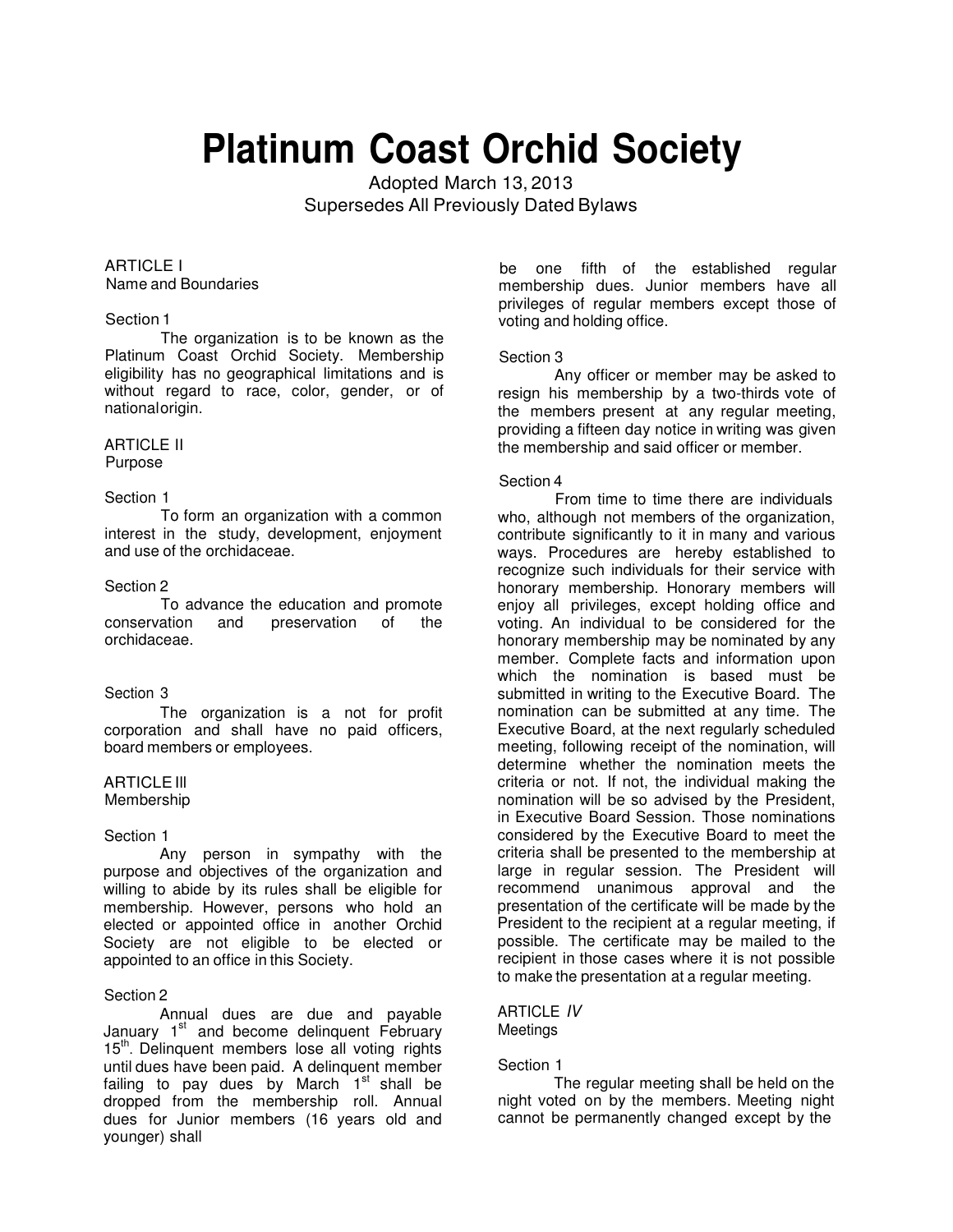# **Platinum Coast Orchid Society**

Adopted March 13, 2013 Supersedes All Previously Dated Bylaws

### ARTICLE I Name and Boundaries

#### Section 1

The organization is to be known as the Platinum Coast Orchid Society. Membership eligibility has no geographical limitations and is without regard to race, color, gender, or of national origin.

#### ARTICLE II Purpose

# Section 1

To form an organization with a common interest in the study, development, enjoyment and use of the orchidaceae.

# Section 2

To advance the education and promote conservation and preservation of the orchidaceae.

# Section 3

The organization is a not for profit corporation and shall have no paid officers, board members or employees.

# ARTICLE Ill

Membership

#### Section 1

Any person in sympathy with the purpose and objectives of the organization and willing to abide by its rules shall be eligible for membership. However, persons who hold an elected or appointed office in another Orchid Society are not eligible to be elected or appointed to an office in this Society.

# Section 2

Annual dues are due and payable January  $1<sup>st</sup>$  and become delinquent February 15<sup>th</sup>. Delinquent members lose all voting rights until dues have been paid. A delinquent member failing to pay dues by March 1st shall be dropped from the membership roll. Annual dues for Junior members (16 years old and younger) shall

be one fifth of the established regular membership dues. Junior members have all privileges of regular members except those of voting and holding office.

# Section 3

Any officer or member may be asked to resign his membership by a two-thirds vote of the members present at any regular meeting, providing a fifteen day notice in writing was given the membership and said officer or member.

#### Section 4

From time to time there are individuals who, although not members of the organization. contribute significantly to it in many and various ways. Procedures are hereby established to recognize such individuals for their service with honorary membership. Honorary members will enjoy all privileges, except holding office and voting. An individual to be considered for the honorary membership may be nominated by any member. Complete facts and information upon which the nomination is based must be submitted in writing to the Executive Board. The nomination can be submitted at any time. The Executive Board, at the next regularly scheduled meeting, following receipt of the nomination, will determine whether the nomination meets the criteria or not. If not, the individual making the nomination will be so advised by the President, in Executive Board Session. Those nominations considered by the Executive Board to meet the criteria shall be presented to the membership at large in regular session. The President will recommend unanimous approval and the presentation of the certificate will be made by the President to the recipient at a regular meeting, if possible. The certificate may be mailed to the recipient in those cases where it is not possible to make the presentation at a regular meeting.

# ARTICLE IV **Meetings**

# Section 1

The regular meeting shall be held on the night voted on by the members. Meeting night cannot be permanently changed except by the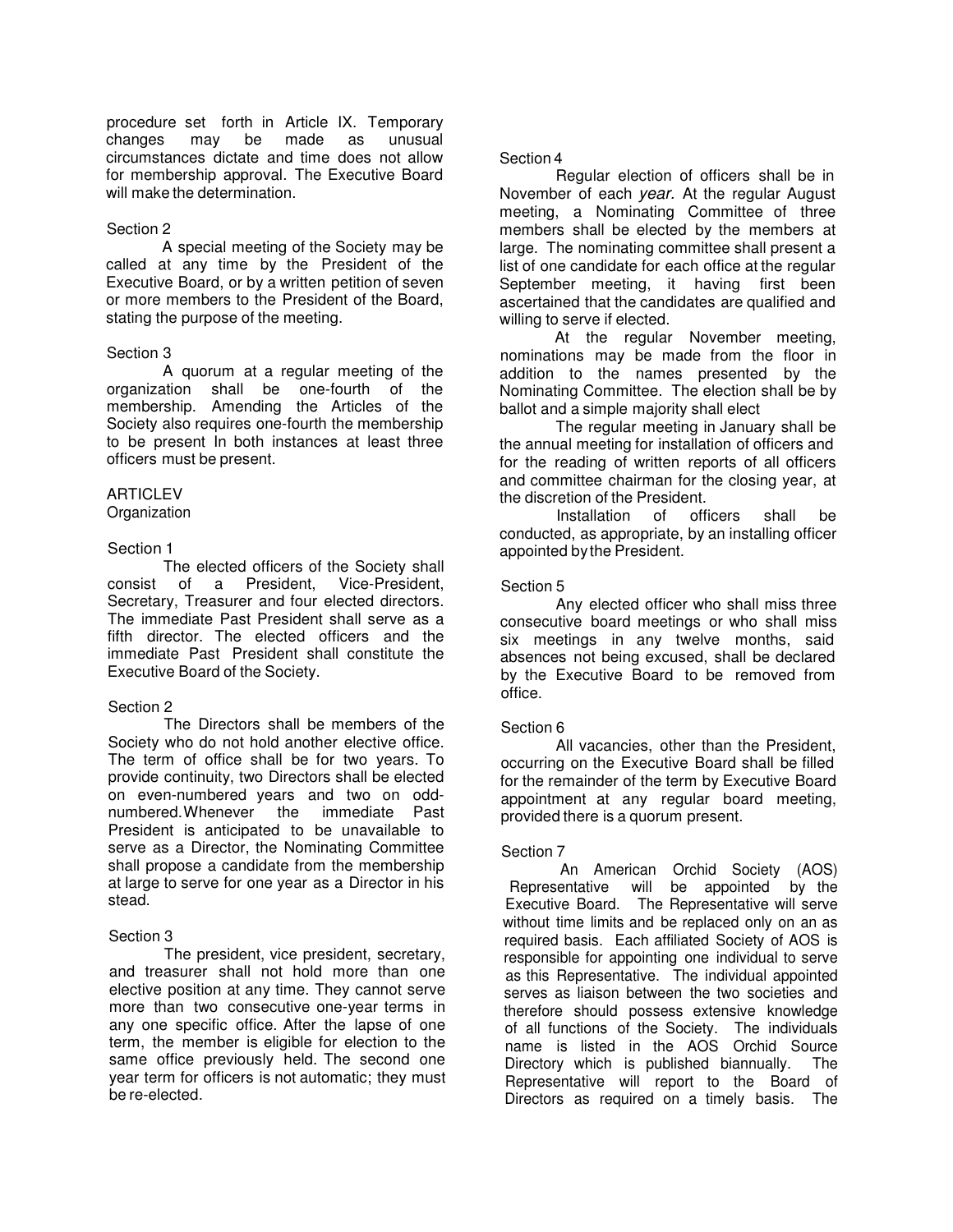procedure set forth in Article IX. Temporary changes may be made as unusual circumstances dictate and time does not allow for membership approval. The Executive Board will make the determination.

# Section 2

A special meeting of the Society may be called at any time by the President of the Executive Board, or by a written petition of seven or more members to the President of the Board, stating the purpose of the meeting.

# Section 3

A quorum at a regular meeting of the organization shall be one-fourth of the membership. Amending the Articles of the Society also requires one-fourth the membership to be present In both instances at least three officers must be present.

# **ARTICLEV**

Organization

# Section 1

The elected officers of the Society shall<br>of a President. Vice-President. consist of a President, Secretary, Treasurer and four elected directors. The immediate Past President shall serve as a fifth director. The elected officers and the immediate Past President shall constitute the Executive Board of the Society.

#### Section 2

The Directors shall be members of the Society who do not hold another elective office. The term of office shall be for two years. To provide continuity, two Directors shall be elected on even-numbered years and two on oddnumbered. Whenever the immediate Past President is anticipated to be unavailable to serve as a Director, the Nominating Committee shall propose a candidate from the membership at large to serve for one year as a Director in his stead.

#### Section 3

The president, vice president, secretary, and treasurer shall not hold more than one elective position at any time. They cannot serve more than two consecutive one-year terms in any one specific office. After the lapse of one term, the member is eligible for election to the same office previously held. The second one year term for officers is not automatic; they must be re-elected.

# Section 4

Regular election of officers shall be in November of each year. At the regular August meeting, a Nominating Committee of three members shall be elected by the members at large. The nominating committee shall present a list of one candidate for each office at the regular September meeting, it having first been ascertained that the candidates are qualified and willing to serve if elected.

At the regular November meeting, nominations may be made from the floor in addition to the names presented by the Nominating Committee. The election shall be by ballot and a simple majority shall elect

The regular meeting in January shall be the annual meeting for installation of officers and for the reading of written reports of all officers and committee chairman for the closing year, at the discretion of the President.

Installation of officers shall be conducted, as appropriate, by an installing officer appointed by the President.

# Section 5

Any elected officer who shall miss three consecutive board meetings or who shall miss six meetings in any twelve months, said absences not being excused, shall be declared by the Executive Board to be removed from office.

# Section 6

All vacancies, other than the President, occurring on the Executive Board shall be filled for the remainder of the term by Executive Board appointment at any regular board meeting, provided there is a quorum present.

# Section 7

An American Orchid Society (AOS) Representative will be appointed by the Executive Board. The Representative will serve without time limits and be replaced only on an as required basis. Each affiliated Society of AOS is responsible for appointing one individual to serve as this Representative. The individual appointed serves as liaison between the two societies and therefore should possess extensive knowledge of all functions of the Society. The individuals name is listed in the AOS Orchid Source Directory which is published biannually. The Representative will report to the Board of Directors as required on a timely basis. The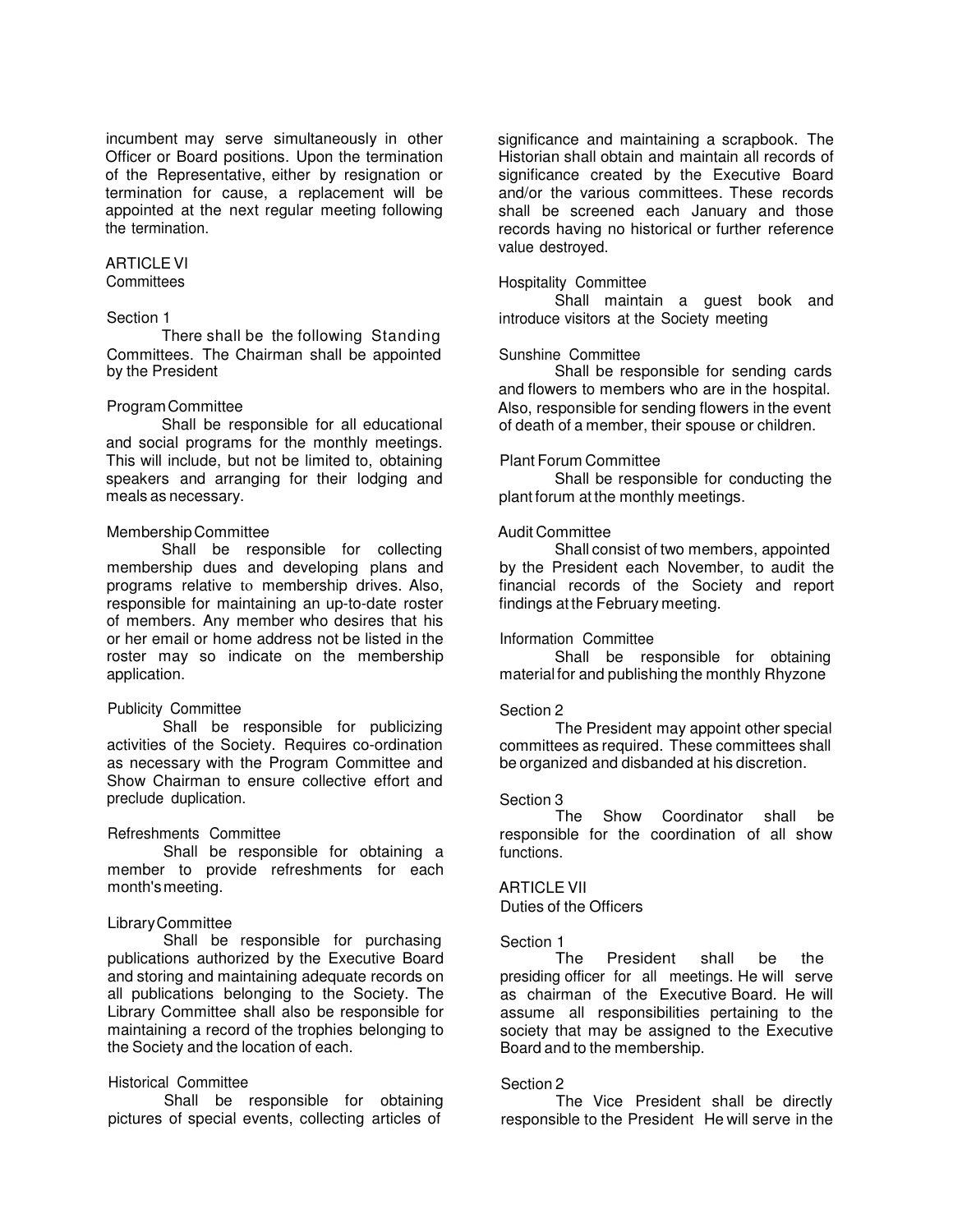incumbent may serve simultaneously in other Officer or Board positions. Upon the termination of the Representative, either by resignation or termination for cause, a replacement will be appointed at the next regular meeting following the termination.

# ARTICLE VI

# **Committees**

# Section 1

There shall be the following Standing Committees. The Chairman shall be appointed by the President

#### Program Committee

Shall be responsible for all educational and social programs for the monthly meetings. This will include, but not be limited to, obtaining speakers and arranging for their lodging and meals as necessary.

# Membership Committee

Shall be responsible for collecting membership dues and developing plans and programs relative to membership drives. Also, responsible for maintaining an up-to-date roster of members. Any member who desires that his or her email or home address not be listed in the roster may so indicate on the membership application.

#### Publicity Committee

Shall be responsible for publicizing activities of the Society. Requires co-ordination as necessary with the Program Committee and Show Chairman to ensure collective effort and preclude duplication.

#### Refreshments Committee

Shall be responsible for obtaining a member to provide refreshments for each month's meeting.

# Library Committee

Shall be responsible for purchasing publications authorized by the Executive Board and storing and maintaining adequate records on all publications belonging to the Society. The Library Committee shall also be responsible for maintaining a record of the trophies belonging to the Society and the location of each.

# Historical Committee

Shall be responsible for obtaining pictures of special events, collecting articles of significance and maintaining a scrapbook. The Historian shall obtain and maintain all records of significance created by the Executive Board and/or the various committees. These records shall be screened each January and those records having no historical or further reference value destroyed.

#### Hospitality Committee

Shall maintain a guest book and introduce visitors at the Society meeting

#### Sunshine Committee

Shall be responsible for sending cards and flowers to members who are in the hospital. Also, responsible for sending flowers in the event of death of a member, their spouse or children.

# Plant Forum Committee

Shall be responsible for conducting the plant forum at the monthly meetings.

# Audit Committee

Shall consist of two members, appointed by the President each November, to audit the financial records of the Society and report findings at the February meeting.

#### Information Committee

Shall be responsible for obtaining material for and publishing the monthly Rhyzone

#### Section 2

The President may appoint other special committees as required. These committees shall be organized and disbanded at his discretion.

#### Section 3

The Show Coordinator shall be responsible for the coordination of all show functions.

# ARTICLE VII

Duties of the Officers

Section 1<br>The President shall be the presiding officer for all meetings. He will serve as chairman of the Executive Board. He will assume all responsibilities pertaining to the society that may be assigned to the Executive Board and to the membership.

#### Section 2

The Vice President shall be directly responsible to the President He will serve in the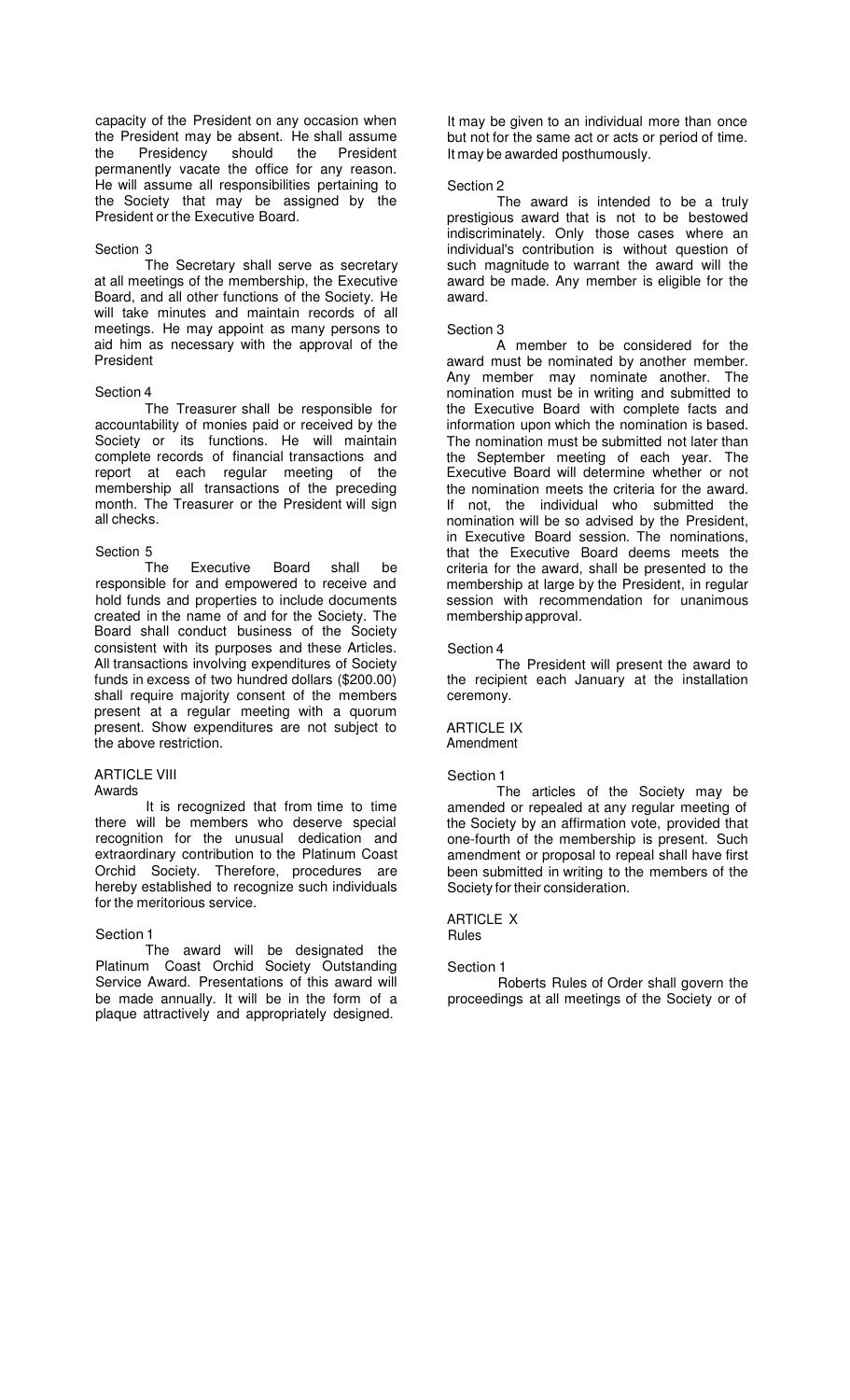capacity of the President on any occasion when the President may be absent. He shall assume the Presidency should the President permanently vacate the office for any reason. He will assume all responsibilities pertaining to the Society that may be assigned by the President or the Executive Board.

# Section 3

The Secretary shall serve as secretary at all meetings of the membership, the Executive Board, and all other functions of the Society. He will take minutes and maintain records of all meetings. He may appoint as many persons to aid him as necessary with the approval of the President

# Section 4

The Treasurer shall be responsible for accountability of monies paid or received by the Society or its functions. He will maintain complete records of financial transactions and report at each regular meeting of the membership all transactions of the preceding month. The Treasurer or the President will sign all checks.

# Section 5

The Executive Board shall be responsible for and empowered to receive and hold funds and properties to include documents created in the name of and for the Society. The Board shall conduct business of the Society consistent with its purposes and these Articles. All transactions involving expenditures of Society funds in excess of two hundred dollars (\$200.00) shall require majority consent of the members present at a regular meeting with a quorum present. Show expenditures are not subject to the above restriction.

# ARTICLE VIII

#### Awards

It is recognized that from time to time there will be members who deserve special recognition for the unusual dedication and extraordinary contribution to the Platinum Coast Orchid Society. Therefore, procedures are hereby established to recognize such individuals for the meritorious service.

# Section 1

The award will be designated the Platinum Coast Orchid Society Outstanding Service Award. Presentations of this award will be made annually. It will be in the form of a plaque attractively and appropriately designed.

It may be given to an individual more than once but not for the same act or acts or period of time. It may be awarded posthumously.

# Section 2

The award is intended to be a truly prestigious award that is not to be bestowed indiscriminately. Only those cases where an individual's contribution is without question of such magnitude to warrant the award will the award be made. Any member is eligible for the award.

# Section 3

A member to be considered for the award must be nominated by another member. Any member may nominate another. The nomination must be in writing and submitted to the Executive Board with complete facts and information upon which the nomination is based. The nomination must be submitted not later than the September meeting of each year. The Executive Board will determine whether or not the nomination meets the criteria for the award. If not, the individual who submitted the nomination will be so advised by the President, in Executive Board session. The nominations, that the Executive Board deems meets the criteria for the award, shall be presented to the membership at large by the President, in regular session with recommendation for unanimous membership approval.

# Section 4

The President will present the award to the recipient each January at the installation ceremony.

#### ARTICLE IX Amendment

# Section 1

The articles of the Society may be amended or repealed at any regular meeting of the Society by an affirmation vote, provided that one-fourth of the membership is present. Such amendment or proposal to repeal shall have first been submitted in writing to the members of the Society for their consideration.

ARTICLE X Rules

# Section 1

Roberts Rules of Order shall govern the proceedings at all meetings of the Society or of